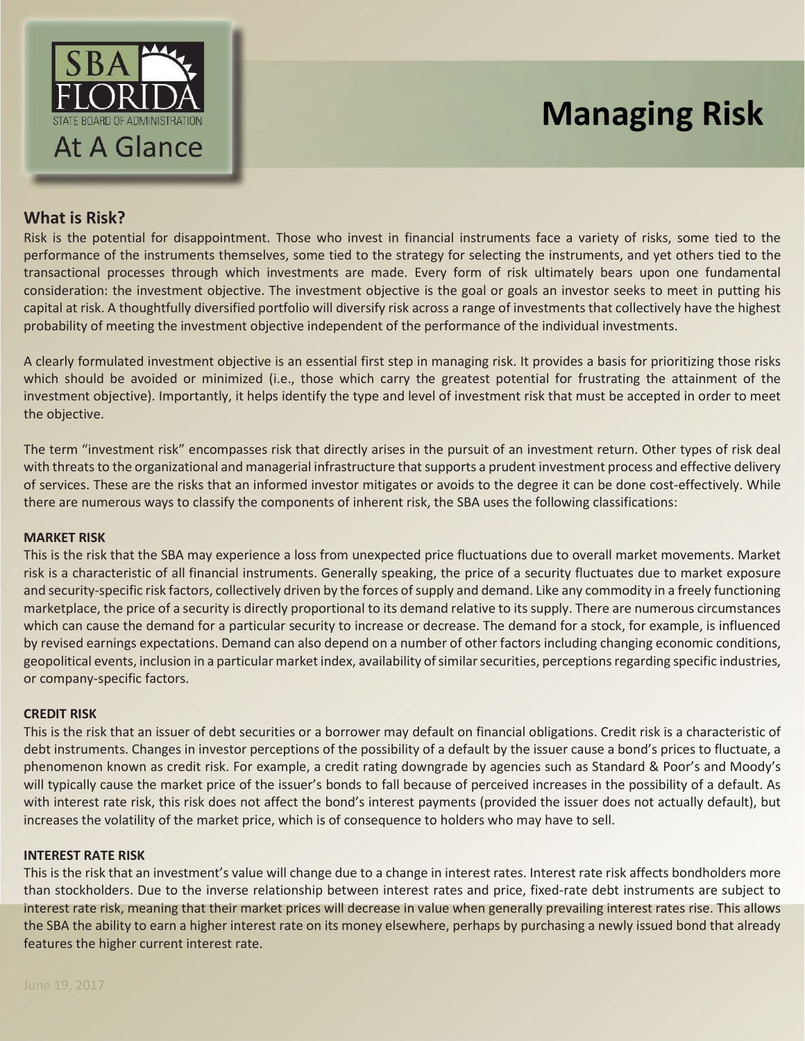

# **Managing Risk**

# **What is Risk?**

Risk is the potential for disappointment. Those who invest in financial instruments face a variety of risks, some tied to the performance of the instruments themselves, some tied to the strategy for selecting the instruments, and yet others tied to the transactional processes through which investments are made. Every form of risk ultimately bears upon one fundamental consideration: the investment objective. The investment objective is the goal or goals an investor seeks to meet in putting his capital at risk. A thoughtfully diversified portfolio will diversify risk across a range of investments that collectively have the highest probability of meeting the investment objective independent of the performance of the individual investments.

A clearly formulated investment objective is an essential first step in managing risk. It provides a basis for prioritizing those risks which should be avoided or minimized (i.e., those which carry the greatest potential for frustrating the attainment of the investment objective). Importantly, it helps identify the type and level of investment risk that must be accepted in order to meet the objective.

The term "investment risk" encompasses risk that directly arises in the pursuit of an investment return. Other types of risk deal with threats to the organizational and managerial infrastructure that supports a prudent investment process and effective delivery of services. These are the risks that an informed investor mitigates or avoids to the degree it can be done cost-effectively. While there are numerous ways to classify the components of inherent risk, the SBA uses the following classifications:

## **MARKET RISK**

This is the risk that the SBA may experience a loss from unexpected price fluctuations due to overall market movements. Market risk is a characteristic of all financial instruments. Generally speaking, the price of a security fluctuates due to market exposure and security-specific risk factors, collectively driven by the forces of supply and demand. Like any commodity in a freely functioning marketplace, the price of a security is directly proportional to its demand relative to its supply. There are numerous circumstances which can cause the demand for a particular security to increase or decrease. The demand for a stock, for example, is influenced by revised earnings expectations. Demand can also depend on a number of other factors including changing economic conditions, geopolitical events, inclusion in a particular market index, availability of similar securities, perceptions regarding specific industries, or company-specific factors.

## **CREDIT RISK**

This is the risk that an issuer of debt securities or a borrower may default on financial obligations. Credit risk is a characteristic of debt instruments. Changes in investor perceptions of the possibility of a default by the issuer cause a bond's prices to fluctuate, a phenomenon known as credit risk. For example, a credit rating downgrade by agencies such as Standard & Poor's and Moody's will typically cause the market price of the issuer's bonds to fall because of perceived increases in the possibility of a default. As with interest rate risk, this risk does not affect the bond's interest payments (provided the issuer does not actually default), but increases the volatility of the market price, which is of consequence to holders who may have to sell.

## **INTEREST RATE RISK**

This is the risk that an investment's value will change due to a change in interest rates. Interest rate risk affects bondholders more than stockholders. Due to the inverse relationship between interest rates and price, fixed-rate debt instruments are subject to interest rate risk, meaning that their market prices will decrease in value when generally prevailing interest rates rise. This allows the SBA the ability to earn a higher interest rate on its money elsewhere, perhaps by purchasing a newly issued bond that already features the higher current interest rate.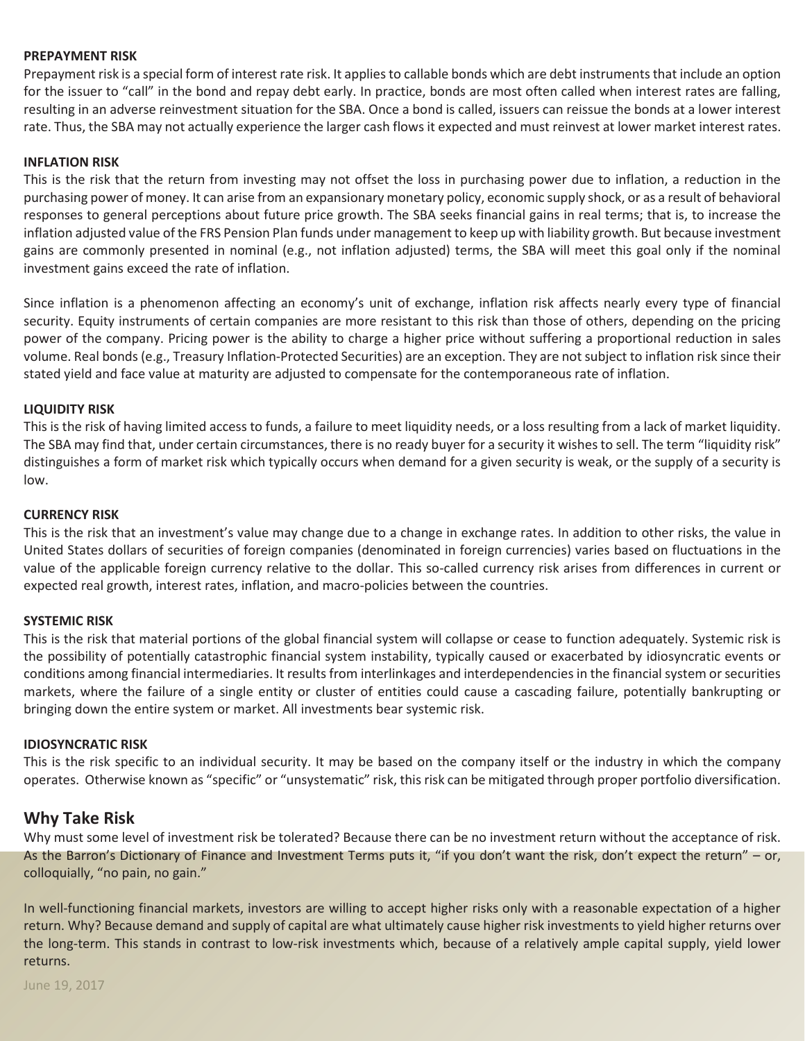#### **PREPAYMENT RISK**

Prepayment risk is a special form of interest rate risk. It applies to callable bonds which are debt instruments that include an option for the issuer to "call" in the bond and repay debt early. In practice, bonds are most often called when interest rates are falling, resulting in an adverse reinvestment situation for the SBA. Once a bond is called, issuers can reissue the bonds at a lower interest rate. Thus, the SBA may not actually experience the larger cash flows it expected and must reinvest at lower market interest rates.

#### **INFLATION RISK**

This is the risk that the return from investing may not offset the loss in purchasing power due to inflation, a reduction in the purchasing power of money. It can arise from an expansionary monetary policy, economic supply shock, or as a result of behavioral responses to general perceptions about future price growth. The SBA seeks financial gains in real terms; that is, to increase the inflation adjusted value of the FRS Pension Plan funds under management to keep up with liability growth. But because investment gains are commonly presented in nominal (e.g., not inflation adjusted) terms, the SBA will meet this goal only if the nominal investment gains exceed the rate of inflation.

Since inflation is a phenomenon affecting an economy's unit of exchange, inflation risk affects nearly every type of financial security. Equity instruments of certain companies are more resistant to this risk than those of others, depending on the pricing power of the company. Pricing power is the ability to charge a higher price without suffering a proportional reduction in sales volume. Real bonds (e.g., Treasury Inflation-Protected Securities) are an exception. They are not subject to inflation risk since their stated yield and face value at maturity are adjusted to compensate for the contemporaneous rate of inflation.

#### **LIQUIDITY RISK**

This is the risk of having limited access to funds, a failure to meet liquidity needs, or a loss resulting from a lack of market liquidity. The SBA may find that, under certain circumstances, there is no ready buyer for a security it wishes to sell. The term "liquidity risk" distinguishes a form of market risk which typically occurs when demand for a given security is weak, or the supply of a security is low.

#### **CURRENCY RISK**

This is the risk that an investment's value may change due to a change in exchange rates. In addition to other risks, the value in United States dollars of securities of foreign companies (denominated in foreign currencies) varies based on fluctuations in the value of the applicable foreign currency relative to the dollar. This so-called currency risk arises from differences in current or expected real growth, interest rates, inflation, and macro-policies between the countries.

#### **SYSTEMIC RISK**

This is the risk that material portions of the global financial system will collapse or cease to function adequately. Systemic risk is the possibility of potentially catastrophic financial system instability, typically caused or exacerbated by idiosyncratic events or conditions among financial intermediaries. It results from interlinkages and interdependencies in the financial system or securities markets, where the failure of a single entity or cluster of entities could cause a cascading failure, potentially bankrupting or bringing down the entire system or market. All investments bear systemic risk.

#### **IDIOSYNCRATIC RISK**

This is the risk specific to an individual security. It may be based on the company itself or the industry in which the company operates. Otherwise known as "specific" or "unsystematic" risk, this risk can be mitigated through proper portfolio diversification.

# **Why Take Risk**

Why must some level of investment risk be tolerated? Because there can be no investment return without the acceptance of risk. As the Barron's Dictionary of Finance and Investment Terms puts it, "if you don't want the risk, don't expect the return" – or, colloquially, "no pain, no gain."

In well-functioning financial markets, investors are willing to accept higher risks only with a reasonable expectation of a higher return. Why? Because demand and supply of capital are what ultimately cause higher risk investments to yield higher returns over the long-term. This stands in contrast to low-risk investments which, because of a relatively ample capital supply, yield lower returns.